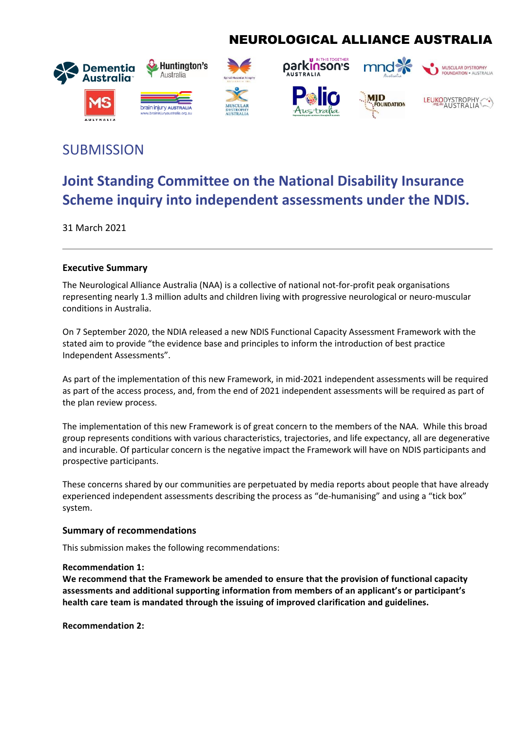# NEUROLOGICAL ALLIANCE AUSTRALIA



# **SUBMISSION**

# **Joint Standing Committee on the National Disability Insurance Scheme inquiry into independent assessments under the NDIS.**

31 March 2021

# **Executive Summary**

The Neurological Alliance Australia (NAA) is a collective of national not-for-profit peak organisations representing nearly 1.3 million adults and children living with progressive neurological or neuro-muscular conditions in Australia.

On 7 September 2020, the NDIA released a new [NDIS Functional Capacity Assessment Framework](https://www.ndis.gov.au/participants/independent-assessments/independent-assessment-framework) with the stated aim to provide "the evidence base and principles to inform the introduction of best practice Independent Assessments".

As part of the implementation of this new Framework, in mid-2021 independent assessments will be required as part of the access process, and, from the end of 2021 independent assessments will be required as part of the plan review process.

The implementation of this new Framework is of great concern to the members of the NAA. While this broad group represents conditions with various characteristics, trajectories, and life expectancy, all are degenerative and incurable. Of particular concern is the negative impact the Framework will have on NDIS participants and prospective participants.

These concerns shared by our communities are perpetuated by media reports about people that have already experienced independent assessments describing the process as "de-humanising" and using a "tick box" system.

# **Summary of recommendations**

This submission makes the following recommendations:

# **Recommendation 1:**

**We recommend that the Framework be amended to ensure that the provision of functional capacity assessments and additional supporting information from members of an applicant's or participant's health care team is mandated through the issuing of improved clarification and guidelines.**

**Recommendation 2:**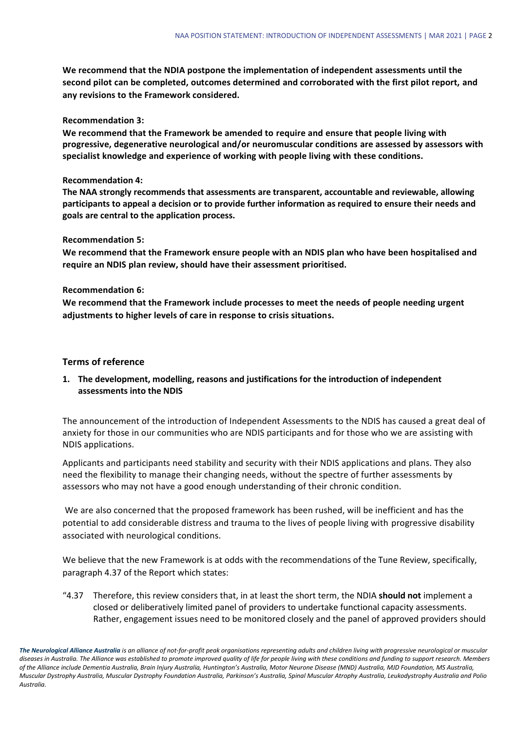**We recommend that the NDIA postpone the implementation of independent assessments until the second pilot can be completed, outcomes determined and corroborated with the first pilot report, and any revisions to the Framework considered.**

#### **Recommendation 3:**

**We recommend that the Framework be amended to require and ensure that people living with progressive, degenerative neurological and/or neuromuscular conditions are assessed by assessors with specialist knowledge and experience of working with people living with these conditions.**

#### **Recommendation 4:**

**The NAA strongly recommends that assessments are transparent, accountable and reviewable, allowing participants to appeal a decision or to provide further information as required to ensure their needs and goals are central to the application process.**

#### **Recommendation 5:**

**We recommend that the Framework ensure people with an NDIS plan who have been hospitalised and require an NDIS plan review, should have their assessment prioritised.**

#### **Recommendation 6:**

**We recommend that the Framework include processes to meet the needs of people needing urgent adjustments to higher levels of care in response to crisis situations.**

# **Terms of reference**

# **1. The development, modelling, reasons and justifications for the introduction of independent assessments into the NDIS**

The announcement of the introduction of Independent Assessments to the NDIS has caused a great deal of anxiety for those in our communities who are NDIS participants and for those who we are assisting with NDIS applications.

Applicants and participants need stability and security with their NDIS applications and plans. They also need the flexibility to manage their changing needs, without the spectre of further assessments by assessors who may not have a good enough understanding of their chronic condition.

We are also concerned that the proposed framework has been rushed, will be inefficient and has the potential to add considerable distress and trauma to the lives of people living with progressive disability associated with neurological conditions.

We believe that the new Framework is at odds with the recommendations of the Tune Review, specifically, paragraph 4.37 of the Report which states:

"4.37 Therefore, this review considers that, in at least the short term, the NDIA **should not** implement a closed or deliberatively limited panel of providers to undertake functional capacity assessments. Rather, engagement issues need to be monitored closely and the panel of approved providers should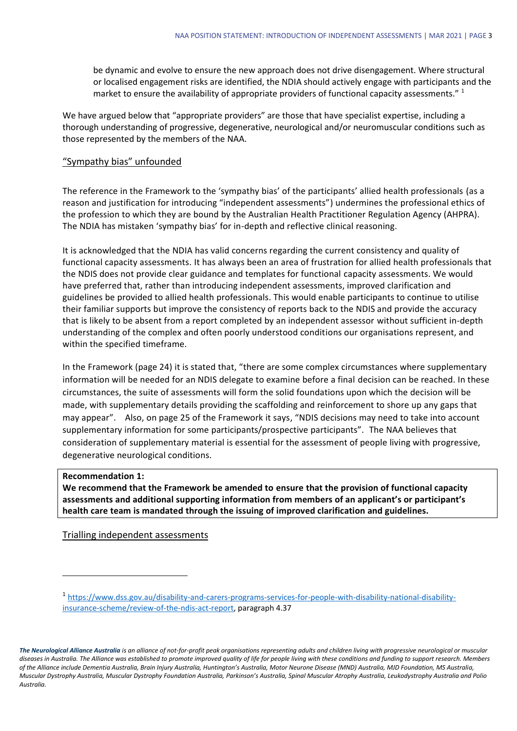be dynamic and evolve to ensure the new approach does not drive disengagement. Where structural or localised engagement risks are identified, the NDIA should actively engage with participants and the market to ensure the availability of appropriate providers of functional capacity assessments." <sup>1</sup>

We have argued below that "appropriate providers" are those that have specialist expertise, including a thorough understanding of progressive, degenerative, neurological and/or neuromuscular conditions such as those represented by the members of the NAA.

#### "Sympathy bias" unfounded

The reference in the Framework to the 'sympathy bias' of the participants' allied health professionals (as a reason and justification for introducing "independent assessments") undermines the professional ethics of the profession to which they are bound by the Australian Health Practitioner Regulation Agency (AHPRA). The NDIA has mistaken 'sympathy bias' for in-depth and reflective clinical reasoning.

It is acknowledged that the NDIA has valid concerns regarding the current consistency and quality of functional capacity assessments. It has always been an area of frustration for allied health professionals that the NDIS does not provide clear guidance and templates for functional capacity assessments. We would have preferred that, rather than introducing independent assessments, improved clarification and guidelines be provided to allied health professionals. This would enable participants to continue to utilise their familiar supports but improve the consistency of reports back to the NDIS and provide the accuracy that is likely to be absent from a report completed by an independent assessor without sufficient in-depth understanding of the complex and often poorly understood conditions our organisations represent, and within the specified timeframe.

In the Framework (page 24) it is stated that, "there are some complex circumstances where supplementary information will be needed for an NDIS delegate to examine before a final decision can be reached. In these circumstances, the suite of assessments will form the solid foundations upon which the decision will be made, with supplementary details providing the scaffolding and reinforcement to shore up any gaps that may appear". Also, on page 25 of the Framework it says, "NDIS decisions may need to take into account supplementary information for some participants/prospective participants". The NAA believes that consideration of supplementary material is essential for the assessment of people living with progressive, degenerative neurological conditions.

#### **Recommendation 1:**

**We recommend that the Framework be amended to ensure that the provision of functional capacity assessments and additional supporting information from members of an applicant's or participant's health care team is mandated through the issuing of improved clarification and guidelines.**

Trialling independent assessments

<sup>1</sup> [https://www.dss.gov.au/disability-and-carers-programs-services-for-people-with-disability-national-disability](https://www.dss.gov.au/disability-and-carers-programs-services-for-people-with-disability-national-disability-insurance-scheme/review-of-the-ndis-act-report)[insurance-scheme/review-of-the-ndis-act-report,](https://www.dss.gov.au/disability-and-carers-programs-services-for-people-with-disability-national-disability-insurance-scheme/review-of-the-ndis-act-report) paragraph 4.37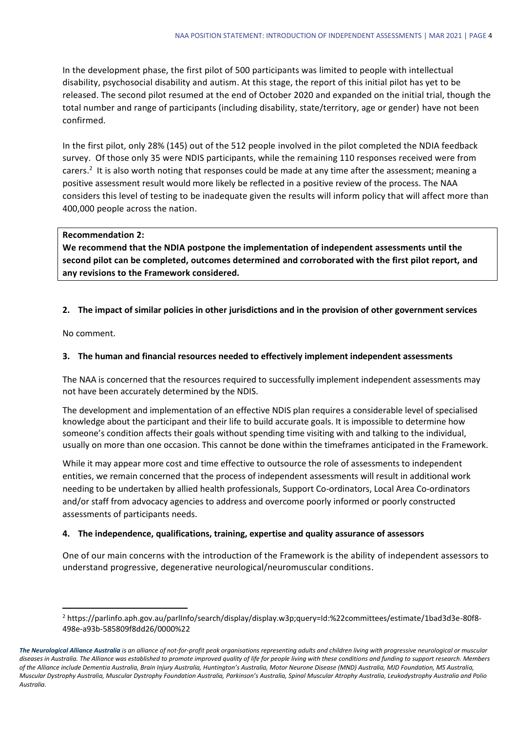In the development phase, the first pilot of 500 participants was limited to people with intellectual disability, psychosocial disability and autism. At this stage, the report of this initial pilot has yet to be released. The second pilot resumed at the end of October 2020 and expanded on the initial trial, though the total number and range of participants (including disability, state/territory, age or gender) have not been confirmed.

In the first pilot, only 28% (145) out of the 512 people involved in the pilot completed the NDIA feedback survey. Of those only 35 were NDIS participants, while the remaining 110 responses received were from carers.<sup>2</sup> It is also worth noting that responses could be made at any time after the assessment; meaning a positive assessment result would more likely be reflected in a positive review of the process. The NAA considers this level of testing to be inadequate given the results will inform policy that will affect more than 400,000 people across the nation.

#### **Recommendation 2:**

**We recommend that the NDIA postpone the implementation of independent assessments until the second pilot can be completed, outcomes determined and corroborated with the first pilot report, and any revisions to the Framework considered.**

# **2. The impact of similar policies in other jurisdictions and in the provision of other government services**

No comment.

#### **3. The human and financial resources needed to effectively implement independent assessments**

The NAA is concerned that the resources required to successfully implement independent assessments may not have been accurately determined by the NDIS.

The development and implementation of an effective NDIS plan requires a considerable level of specialised knowledge about the participant and their life to build accurate goals. It is impossible to determine how someone's condition affects their goals without spending time visiting with and talking to the individual, usually on more than one occasion. This cannot be done within the timeframes anticipated in the Framework.

While it may appear more cost and time effective to outsource the role of assessments to independent entities, we remain concerned that the process of independent assessments will result in additional work needing to be undertaken by allied health professionals, Support Co-ordinators, Local Area Co-ordinators and/or staff from advocacy agencies to address and overcome poorly informed or poorly constructed assessments of participants needs.

# **4. The independence, qualifications, training, expertise and quality assurance of assessors**

One of our main concerns with the introduction of the Framework is the ability of independent assessors to understand progressive, degenerative neurological/neuromuscular conditions.

<sup>2</sup> https://parlinfo.aph.gov.au/parlInfo/search/display/display.w3p;query=Id:%22committees/estimate/1bad3d3e-80f8- 498e-a93b-585809f8dd26/0000%22

*The Neurological Alliance Australia is an alliance of not‐for‐profit peak organisations representing adults and children living with progressive neurological or muscular diseases in Australia. The Alliance was established to promote improved quality of life for people living with these conditions and funding to support research. Members of the Alliance include Dementia Australia, Brain Injury Australia, Huntington's Australia, Motor Neurone Disease (MND) Australia, MJD Foundation, MS Australia, Muscular Dystrophy Australia, Muscular Dystrophy Foundation Australia, Parkinson's Australia, Spinal Muscular Atrophy Australia, Leukodystrophy Australia and Polio Australia.*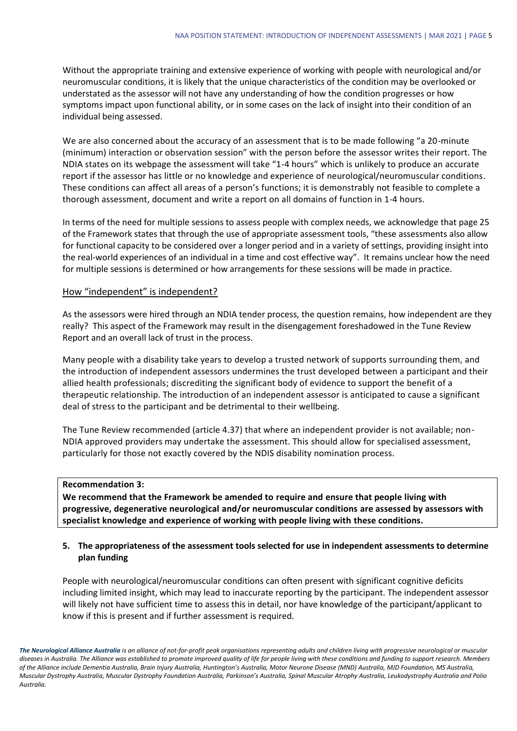Without the appropriate training and extensive experience of working with people with neurological and/or neuromuscular conditions, it is likely that the unique characteristics of the condition may be overlooked or understated as the assessor will not have any understanding of how the condition progresses or how symptoms impact upon functional ability, or in some cases on the lack of insight into their condition of an individual being assessed.

We are also concerned about the accuracy of an assessment that is to be made following "a 20-minute" (minimum) interaction or observation session" with the person before the assessor writes their report. The NDIA states on its webpage the assessment will take "1-4 hours" which is unlikely to produce an accurate report if the assessor has little or no knowledge and experience of neurological/neuromuscular conditions. These conditions can affect all areas of a person's functions; it is demonstrably not feasible to complete a thorough assessment, document and write a report on all domains of function in 1-4 hours.

In terms of the need for multiple sessions to assess people with complex needs, we acknowledge that page 25 of the Framework states that through the use of appropriate assessment tools, "these assessments also allow for functional capacity to be considered over a longer period and in a variety of settings, providing insight into the real-world experiences of an individual in a time and cost effective way". It remains unclear how the need for multiple sessions is determined or how arrangements for these sessions will be made in practice.

# How "independent" is independent?

As the assessors were hired through an NDIA tender process, the question remains, how independent are they really? This aspect of the Framework may result in the disengagement foreshadowed in the Tune Review Report and an overall lack of trust in the process.

Many people with a disability take years to develop a trusted network of supports surrounding them, and the introduction of independent assessors undermines the trust developed between a participant and their allied health professionals; discrediting the significant body of evidence to support the benefit of a therapeutic relationship. The introduction of an independent assessor is anticipated to cause a significant deal of stress to the participant and be detrimental to their wellbeing.

The Tune Review recommended (article 4.37) that where an independent provider is not available; non-NDIA approved providers may undertake the assessment. This should allow for specialised assessment, particularly for those not exactly covered by the NDIS disability nomination process.

#### **Recommendation 3:**

**We recommend that the Framework be amended to require and ensure that people living with progressive, degenerative neurological and/or neuromuscular conditions are assessed by assessors with specialist knowledge and experience of working with people living with these conditions.**

# **5. The appropriateness of the assessment tools selected for use in independent assessments to determine plan funding**

People with neurological/neuromuscular conditions can often present with significant cognitive deficits including limited insight, which may lead to inaccurate reporting by the participant. The independent assessor will likely not have sufficient time to assess this in detail, nor have knowledge of the participant/applicant to know if this is present and if further assessment is required.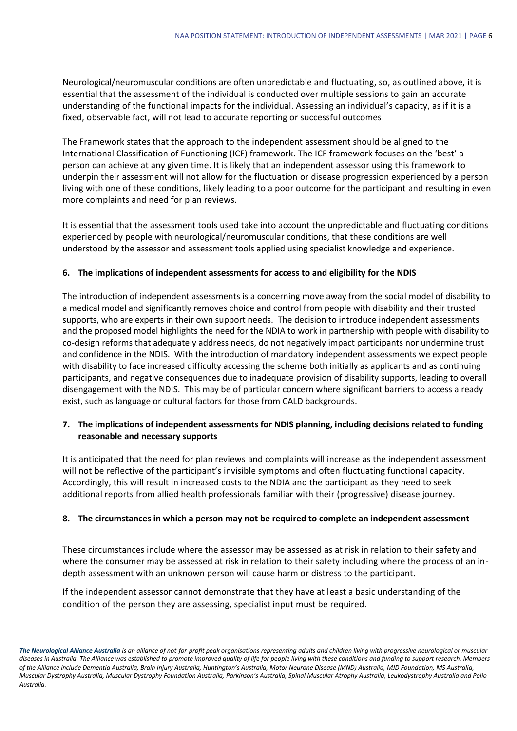Neurological/neuromuscular conditions are often unpredictable and fluctuating, so, as outlined above, it is essential that the assessment of the individual is conducted over multiple sessions to gain an accurate understanding of the functional impacts for the individual. Assessing an individual's capacity, as if it is a fixed, observable fact, will not lead to accurate reporting or successful outcomes.

The Framework states that the approach to the independent assessment should be aligned to the International Classification of Functioning (ICF) framework. The ICF framework focuses on the 'best' a person can achieve at any given time. It is likely that an independent assessor using this framework to underpin their assessment will not allow for the fluctuation or disease progression experienced by a person living with one of these conditions, likely leading to a poor outcome for the participant and resulting in even more complaints and need for plan reviews.

It is essential that the assessment tools used take into account the unpredictable and fluctuating conditions experienced by people with neurological/neuromuscular conditions, that these conditions are well understood by the assessor and assessment tools applied using specialist knowledge and experience.

# **6. The implications of independent assessments for access to and eligibility for the NDIS**

The introduction of independent assessments is a concerning move away from the social model of disability to a medical model and significantly removes choice and control from people with disability and their trusted supports, who are experts in their own support needs. The decision to introduce independent assessments and the proposed model highlights the need for the NDIA to work in partnership with people with disability to co-design reforms that adequately address needs, do not negatively impact participants nor undermine trust and confidence in the NDIS. With the introduction of mandatory independent assessments we expect people with disability to face increased difficulty accessing the scheme both initially as applicants and as continuing participants, and negative consequences due to inadequate provision of disability supports, leading to overall disengagement with the NDIS. This may be of particular concern where significant barriers to access already exist, such as language or cultural factors for those from CALD backgrounds.

# **7. The implications of independent assessments for NDIS planning, including decisions related to funding reasonable and necessary supports**

It is anticipated that the need for plan reviews and complaints will increase as the independent assessment will not be reflective of the participant's invisible symptoms and often fluctuating functional capacity. Accordingly, this will result in increased costs to the NDIA and the participant as they need to seek additional reports from allied health professionals familiar with their (progressive) disease journey.

# **8. The circumstances in which a person may not be required to complete an independent assessment**

These circumstances include where the assessor may be assessed as at risk in relation to their safety and where the consumer may be assessed at risk in relation to their safety including where the process of an indepth assessment with an unknown person will cause harm or distress to the participant.

If the independent assessor cannot demonstrate that they have at least a basic understanding of the condition of the person they are assessing, specialist input must be required.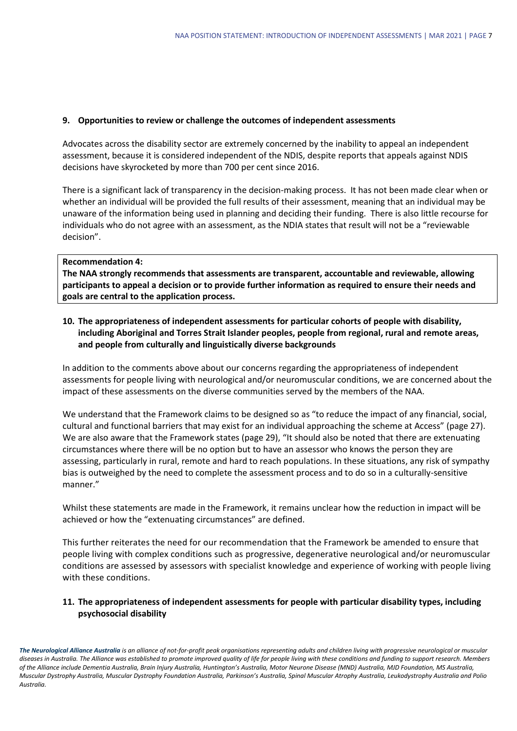# **9. Opportunities to review or challenge the outcomes of independent assessments**

Advocates across the disability sector are extremely concerned by the inability to appeal an independent assessment, because it is considered independent of the NDIS, despite reports that appeals against NDIS decisions have skyrocketed by more than 700 per cent since 2016.

There is a significant lack of transparency in the decision-making process. It has not been made clear when or whether an individual will be provided the full results of their assessment, meaning that an individual may be unaware of the information being used in planning and deciding their funding. There is also little recourse for individuals who do not agree with an assessment, as the NDIA states that result will not be a "reviewable decision".

# **Recommendation 4:**

**The NAA strongly recommends that assessments are transparent, accountable and reviewable, allowing participants to appeal a decision or to provide further information as required to ensure their needs and goals are central to the application process.**

# **10. The appropriateness of independent assessments for particular cohorts of people with disability, including Aboriginal and Torres Strait Islander peoples, people from regional, rural and remote areas, and people from culturally and linguistically diverse backgrounds**

In addition to the comments above about our concerns regarding the appropriateness of independent assessments for people living with neurological and/or neuromuscular conditions, we are concerned about the impact of these assessments on the diverse communities served by the members of the NAA.

We understand that the Framework claims to be designed so as "to reduce the impact of any financial, social, cultural and functional barriers that may exist for an individual approaching the scheme at Access" (page 27). We are also aware that the Framework states (page 29), "It should also be noted that there are extenuating circumstances where there will be no option but to have an assessor who knows the person they are assessing, particularly in rural, remote and hard to reach populations. In these situations, any risk of sympathy bias is outweighed by the need to complete the assessment process and to do so in a culturally-sensitive manner."

Whilst these statements are made in the Framework, it remains unclear how the reduction in impact will be achieved or how the "extenuating circumstances" are defined.

This further reiterates the need for our recommendation that the Framework be amended to ensure that people living with complex conditions such as progressive, degenerative neurological and/or neuromuscular conditions are assessed by assessors with specialist knowledge and experience of working with people living with these conditions.

# **11. The appropriateness of independent assessments for people with particular disability types, including psychosocial disability**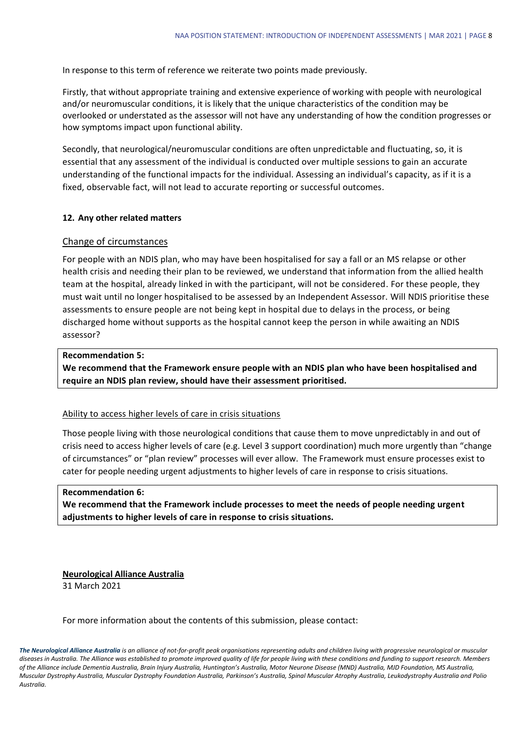In response to this term of reference we reiterate two points made previously.

Firstly, that without appropriate training and extensive experience of working with people with neurological and/or neuromuscular conditions, it is likely that the unique characteristics of the condition may be overlooked or understated as the assessor will not have any understanding of how the condition progresses or how symptoms impact upon functional ability.

Secondly, that neurological/neuromuscular conditions are often unpredictable and fluctuating, so, it is essential that any assessment of the individual is conducted over multiple sessions to gain an accurate understanding of the functional impacts for the individual. Assessing an individual's capacity, as if it is a fixed, observable fact, will not lead to accurate reporting or successful outcomes.

#### **12. Any other related matters**

# Change of circumstances

For people with an NDIS plan, who may have been hospitalised for say a fall or an MS relapse or other health crisis and needing their plan to be reviewed, we understand that information from the allied health team at the hospital, already linked in with the participant, will not be considered. For these people, they must wait until no longer hospitalised to be assessed by an Independent Assessor. Will NDIS prioritise these assessments to ensure people are not being kept in hospital due to delays in the process, or being discharged home without supports as the hospital cannot keep the person in while awaiting an NDIS assessor?

#### **Recommendation 5:**

**We recommend that the Framework ensure people with an NDIS plan who have been hospitalised and require an NDIS plan review, should have their assessment prioritised.**

#### Ability to access higher levels of care in crisis situations

Those people living with those neurological conditions that cause them to move unpredictably in and out of crisis need to access higher levels of care (e.g. Level 3 support coordination) much more urgently than "change of circumstances" or "plan review" processes will ever allow. The Framework must ensure processes exist to cater for people needing urgent adjustments to higher levels of care in response to crisis situations.

#### **Recommendation 6:**

**We recommend that the Framework include processes to meet the needs of people needing urgent adjustments to higher levels of care in response to crisis situations.**

**Neurological Alliance Australia** 31 March 2021

For more information about the contents of this submission, please contact: